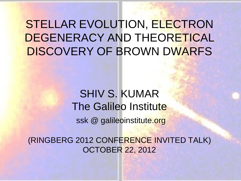# STELLAR EVOLUTION, ELECTRON DEGENERACY AND THEORETICAL DISCOVERY OF BROWN DWARFS

# SHIV S. KUMAR The Galileo Institute

ssk @ galileoinstitute.org

(RINGBERG 2012 CONFERENCE INVITED TALK) OCTOBER 22, 2012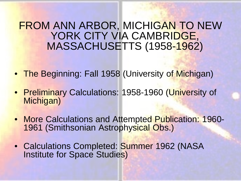## FROM ANN ARBOR, MICHIGAN TO NEW YORK CITY VIA CAMBRIDGE, MASSACHUSETTS (1958-1962)

- The Beginning: Fall 1958 (University of Michigan)
- Preliminary Calculations: 1958-1960 (University of Michigan)
- More Calculations and Attempted Publication: 1960-<br>1961 (Smithsonian Astrophysical Obs.)
- Calculations Completed: Summer 1962 (NASA Institute for Space Studies)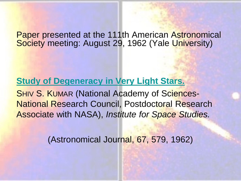Paper presented at the 111th American Astronomical Society meeting: August 29, 1962 (Yale University)

## **[Study of Degeneracy in Very Light Stars.](https://ui.adsabs.harvard.edu/abs/1962AJ.....67S.579K/abstract) SHIV S. KUMAR (National Academy of Sciences-**National Research Council, Postdoctoral Research Associate with NASA), *Institute for Space Studies.*

(Astronomical Journal, 67, 579, 1962)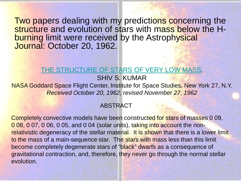Two papers dealing with my predictions concerning the structure and evolution of stars with mass below the H-<br>burning limit were received by the Astrophysical Journal: October 20, 1962.

#### [THE STRUCTURE OF STARS OF VERY LOW MASS,](https://ui.adsabs.harvard.edu/abs/1963ApJ...137.1121K/abstract)

## SHIV S. KUMAR

NASA Goddard Space Flight Center, Institute for Space Studies, New York 27, N.Y. *Received October 20, 1962; revised November 27, 1962*

## ABSTRACT

Completely convective models have been constructed for stars of masses 0 09, 0 08, 0 07, 0 06, 0 05, and 0 04 (solar units), taking into account the nonrelativistic degeneracy of the stellar material. It is shown that there is a lower limit to the mass of a main-sequence star. The stars with mass less than this limit become completely degenerate stars of "black" dwarfs as a consequence of gravitational contraction, and, therefore, they never go through the normal stellar evolution.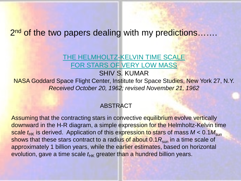## 2<sup>nd</sup> of the two papers dealing with my predictions…….

## [THE HELMHOLTZ-KELVIN TIME SCALE](https://ui.adsabs.harvard.edu/abs/1963ApJ...137.1126K/abstract)  [FOR STARS OF VERY LOW MASS](https://ui.adsabs.harvard.edu/abs/1963ApJ...137.1126K/abstract)

#### SHIV S. KUMAR

NASA Goddard Space Flight Center, Institute for Space Studies, New York 27, N.Y. *Received October 20, 1962; revised November 21, 1962*

#### ABSTRACT

Assuming that the contracting stars in convective equilibrium evolve vertically downward in the H-R diagram, a simple expression for the Helmholtz-Kelvin time scale  $t_{HK}$  is derived. Application of this expression to stars of mass  $M < 0.1 M_{sun}$ shows that these stars contract to a radius of about 0.1 $R_{\text{sun}}$  in a time scale of approximately 1 billion years, while the earlier estimates, based on horizontal evolution, gave a time scale  $t_{HK}$  greater than a hundred billion years.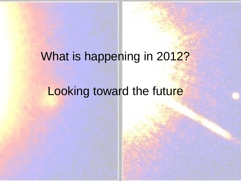# What is happening in 2012?

# Looking toward the future